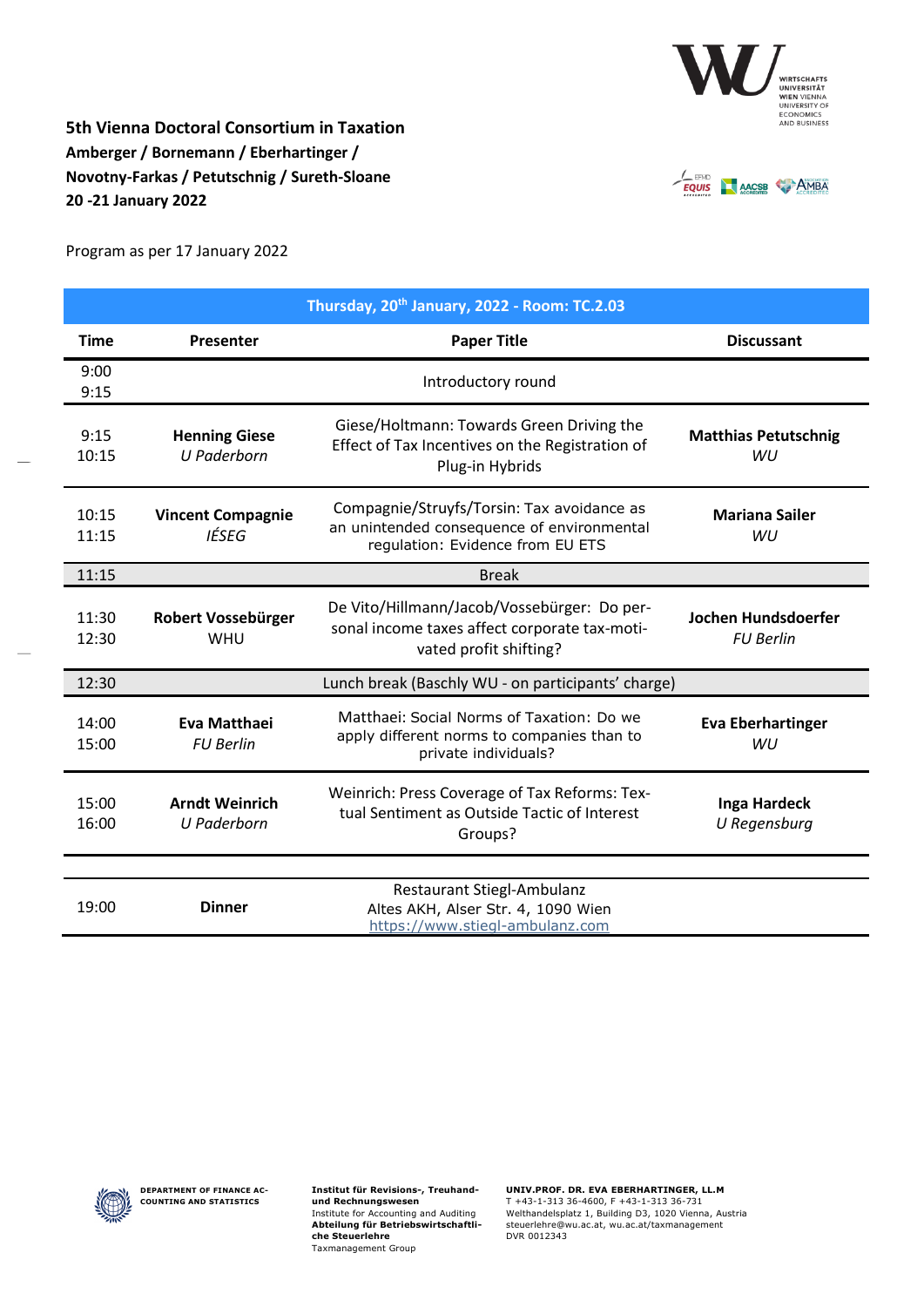

**5th Vienna Doctoral Consortium in Taxation Amberger / Bornemann / Eberhartinger / Novotny-Farkas / Petutschnig / Sureth-Sloane 20 -21 January 2022**



Program as per 17 January 2022

| Thursday, 20 <sup>th</sup> January, 2022 - Room: TC.2.03 |                                                    |                                                                                                                              |                                         |
|----------------------------------------------------------|----------------------------------------------------|------------------------------------------------------------------------------------------------------------------------------|-----------------------------------------|
| <b>Time</b>                                              | Presenter                                          | <b>Paper Title</b>                                                                                                           | <b>Discussant</b>                       |
| 9:00<br>9:15                                             | Introductory round                                 |                                                                                                                              |                                         |
| 9:15<br>10:15                                            | <b>Henning Giese</b><br><b>U</b> Paderborn         | Giese/Holtmann: Towards Green Driving the<br>Effect of Tax Incentives on the Registration of<br>Plug-in Hybrids              | <b>Matthias Petutschnig</b><br>WU       |
| 10:15<br>11:15                                           | <b>Vincent Compagnie</b><br>IÉSEG                  | Compagnie/Struyfs/Torsin: Tax avoidance as<br>an unintended consequence of environmental<br>regulation: Evidence from EU ETS | <b>Mariana Sailer</b><br>WU             |
| 11:15                                                    | <b>Break</b>                                       |                                                                                                                              |                                         |
| 11:30<br>12:30                                           | Robert Vossebürger<br><b>WHU</b>                   | De Vito/Hillmann/Jacob/Vossebürger: Do per-<br>sonal income taxes affect corporate tax-moti-<br>vated profit shifting?       | Jochen Hundsdoerfer<br><b>FU Berlin</b> |
| 12:30                                                    | Lunch break (Baschly WU - on participants' charge) |                                                                                                                              |                                         |
| 14:00<br>15:00                                           | Eva Matthaei<br><b>FU Berlin</b>                   | Matthaei: Social Norms of Taxation: Do we<br>apply different norms to companies than to<br>private individuals?              | <b>Eva Eberhartinger</b><br>WU          |
| 15:00<br>16:00                                           | <b>Arndt Weinrich</b><br><b>U</b> Paderborn        | Weinrich: Press Coverage of Tax Reforms: Tex-<br>tual Sentiment as Outside Tactic of Interest<br>Groups?                     | Inga Hardeck<br>U Regensburg            |
| 19:00                                                    | <b>Dinner</b>                                      | Restaurant Stiegl-Ambulanz<br>Altes AKH, Alser Str. 4, 1090 Wien<br>https://www.stiegl-ambulanz.com                          |                                         |



**Institut für Revisions-, Treuhandund Rechnungswesen** Institute for Accounting and Auditing **Abteilung für Betriebswirtschaftliche Steuerlehre** Taxmanagement Group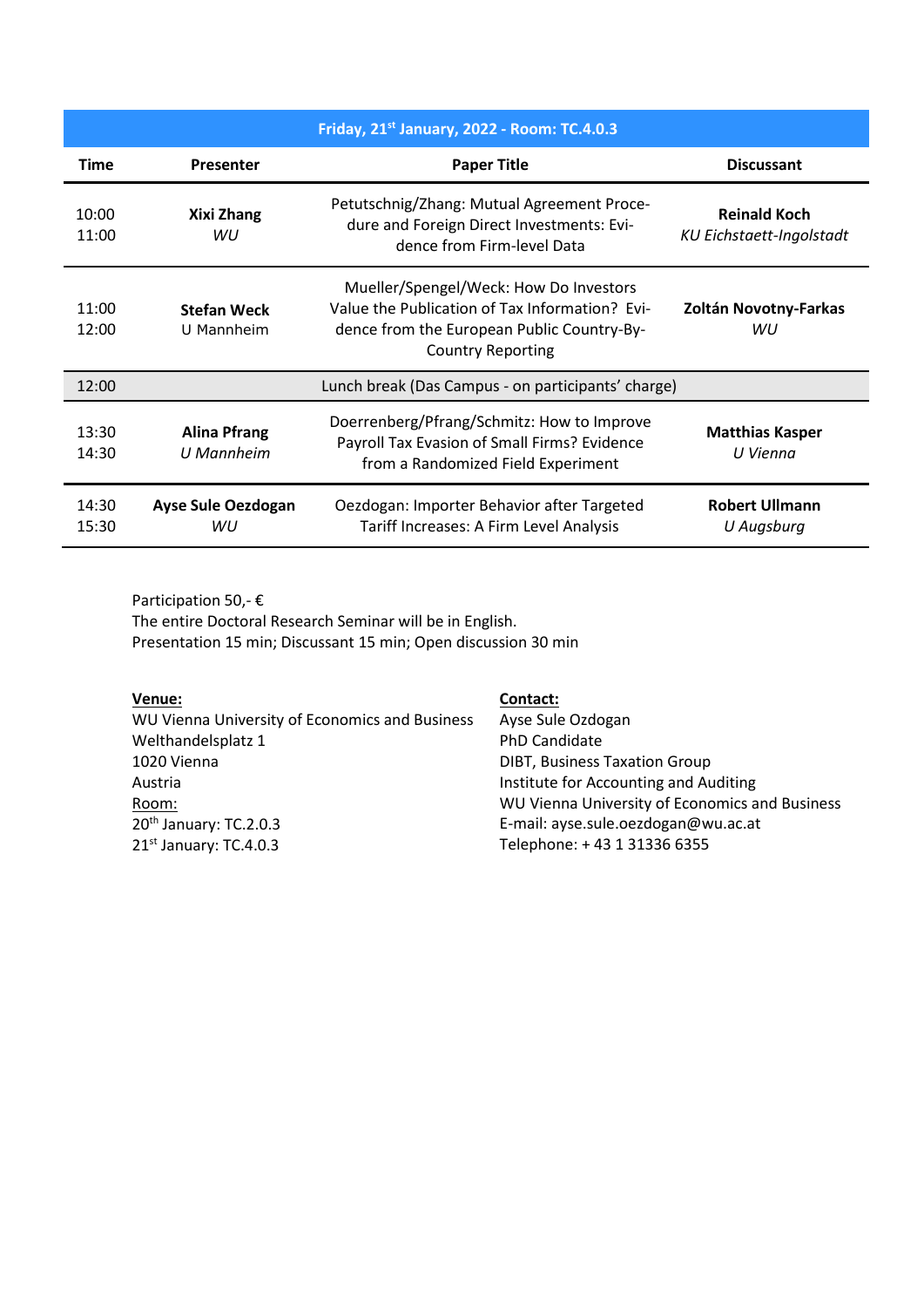| Friday, 21st January, 2022 - Room: TC.4.0.3 |                                                    |                                                                                                                                                                    |                                                        |  |
|---------------------------------------------|----------------------------------------------------|--------------------------------------------------------------------------------------------------------------------------------------------------------------------|--------------------------------------------------------|--|
| <b>Time</b>                                 | <b>Presenter</b>                                   | <b>Paper Title</b>                                                                                                                                                 | <b>Discussant</b>                                      |  |
| 10:00<br>11:00                              | Xixi Zhang<br>WIJ                                  | Petutschnig/Zhang: Mutual Agreement Proce-<br>dure and Foreign Direct Investments: Evi-<br>dence from Firm-level Data                                              | <b>Reinald Koch</b><br><b>KU Eichstaett-Ingolstadt</b> |  |
| 11:00<br>12:00                              | <b>Stefan Weck</b><br>U Mannheim                   | Mueller/Spengel/Weck: How Do Investors<br>Value the Publication of Tax Information? Evi-<br>dence from the European Public Country-By-<br><b>Country Reporting</b> | Zoltán Novotny-Farkas<br>WU                            |  |
| 12:00                                       | Lunch break (Das Campus - on participants' charge) |                                                                                                                                                                    |                                                        |  |
| 13:30<br>14:30                              | <b>Alina Pfrang</b><br>U Mannheim                  | Doerrenberg/Pfrang/Schmitz: How to Improve<br>Payroll Tax Evasion of Small Firms? Evidence<br>from a Randomized Field Experiment                                   | <b>Matthias Kasper</b><br>U Vienna                     |  |
| 14:30<br>15:30                              | <b>Ayse Sule Oezdogan</b><br>WU                    | Oezdogan: Importer Behavior after Targeted<br>Tariff Increases: A Firm Level Analysis                                                                              | <b>Robert Ullmann</b><br>U Augsburg                    |  |

Participation 50,- € The entire Doctoral Research Seminar will be in English. Presentation 15 min; Discussant 15 min; Open discussion 30 min

| Venue:                                         | Contact:                                       |
|------------------------------------------------|------------------------------------------------|
| WU Vienna University of Economics and Business | Ayse Sule Ozdogan                              |
| Welthandelsplatz 1                             | <b>PhD Candidate</b>                           |
| 1020 Vienna                                    | <b>DIBT, Business Taxation Group</b>           |
| Austria                                        | Institute for Accounting and Auditing          |
| Room:                                          | WU Vienna University of Economics and Business |
| $20th$ January: TC.2.0.3                       | E-mail: ayse.sule.oezdogan@wu.ac.at            |
| 21st January: TC.4.0.3                         | Telephone: +43 1 31336 6355                    |